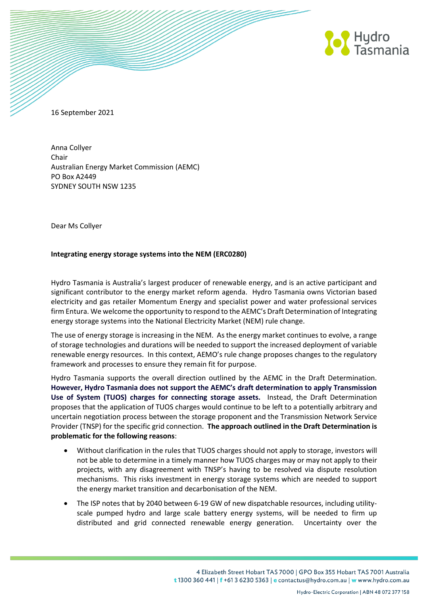

16 September 2021

Anna Collyer Chair Australian Energy Market Commission (AEMC) PO Box A2449 SYDNEY SOUTH NSW 1235

Dear Ms Collyer

### **Integrating energy storage systems into the NEM (ERC0280)**

Hydro Tasmania is Australia's largest producer of renewable energy, and is an active participant and significant contributor to the energy market reform agenda. Hydro Tasmania owns Victorian based electricity and gas retailer Momentum Energy and specialist power and water professional services firm Entura. We welcome the opportunity to respond to the AEMC's Draft Determination of Integrating energy storage systems into the National Electricity Market (NEM) rule change.

The use of energy storage is increasing in the NEM. As the energy market continues to evolve, a range of storage technologies and durations will be needed to support the increased deployment of variable renewable energy resources. In this context, AEMO's rule change proposes changes to the regulatory framework and processes to ensure they remain fit for purpose.

Hydro Tasmania supports the overall direction outlined by the AEMC in the Draft Determination. **However, Hydro Tasmania does not support the AEMC's draft determination to apply Transmission Use of System (TUOS) charges for connecting storage assets.** Instead, the Draft Determination proposes that the application of TUOS charges would continue to be left to a potentially arbitrary and uncertain negotiation process between the storage proponent and the Transmission Network Service Provider (TNSP) for the specific grid connection. **The approach outlined in the Draft Determination is problematic for the following reasons**:

- Without clarification in the rules that TUOS charges should not apply to storage, investors will not be able to determine in a timely manner how TUOS charges may or may not apply to their projects, with any disagreement with TNSP's having to be resolved via dispute resolution mechanisms. This risks investment in energy storage systems which are needed to support the energy market transition and decarbonisation of the NEM.
- The ISP notes that by 2040 between 6-19 GW of new dispatchable resources, including utilityscale pumped hydro and large scale battery energy systems, will be needed to firm up distributed and grid connected renewable energy generation. Uncertainty over the

4 Elizabeth Street Hobart TAS 7000 | GPO Box 355 Hobart TAS 7001 Australia t 1300 360 441 | f +61 3 6230 5363 | e contactus@hydro.com.au | w www.hydro.com.au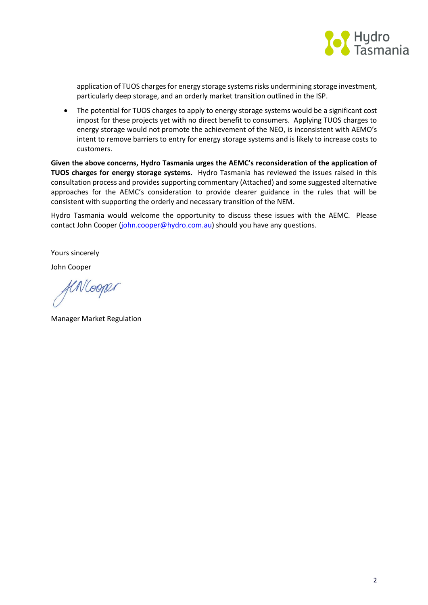

application of TUOS charges for energy storage systems risks undermining storage investment, particularly deep storage, and an orderly market transition outlined in the ISP.

 The potential for TUOS charges to apply to energy storage systems would be a significant cost impost for these projects yet with no direct benefit to consumers. Applying TUOS charges to energy storage would not promote the achievement of the NEO, is inconsistent with AEMO's intent to remove barriers to entry for energy storage systems and is likely to increase costs to customers.

**Given the above concerns, Hydro Tasmania urges the AEMC's reconsideration of the application of TUOS charges for energy storage systems.** Hydro Tasmania has reviewed the issues raised in this consultation process and provides supporting commentary (Attached) and some suggested alternative approaches for the AEMC's consideration to provide clearer guidance in the rules that will be consistent with supporting the orderly and necessary transition of the NEM.

Hydro Tasmania would welcome the opportunity to discuss these issues with the AEMC. Please contact John Cooper [\(john.cooper@hydro.com.au\)](mailto:john.cooper@hydro.com.au) should you have any questions.

Yours sincerely

John Cooper

fenlooper

Manager Market Regulation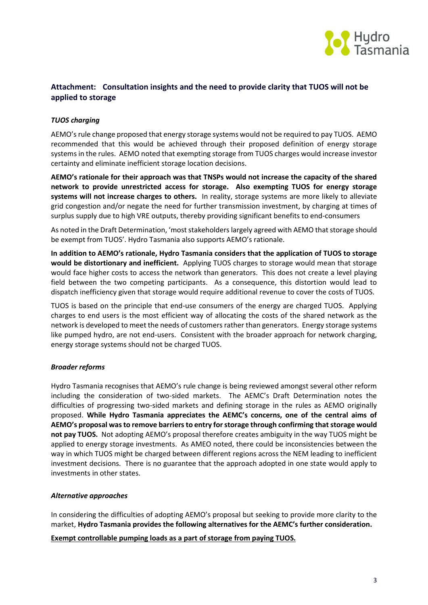

# **Attachment: Consultation insights and the need to provide clarity that TUOS will not be applied to storage**

## *TUOS charging*

AEMO's rule change proposed that energy storage systems would not be required to pay TUOS. AEMO recommended that this would be achieved through their proposed definition of energy storage systems in the rules. AEMO noted that exempting storage from TUOS charges would increase investor certainty and eliminate inefficient storage location decisions.

**AEMO's rationale for their approach was that TNSPs would not increase the capacity of the shared network to provide unrestricted access for storage. Also exempting TUOS for energy storage systems will not increase charges to others.** In reality, storage systems are more likely to alleviate grid congestion and/or negate the need for further transmission investment, by charging at times of surplus supply due to high VRE outputs, thereby providing significant benefits to end-consumers

As noted in the Draft Determination, 'most stakeholders largely agreed with AEMO that storage should be exempt from TUOS'. Hydro Tasmania also supports AEMO's rationale.

**In addition to AEMO's rationale, Hydro Tasmania considers that the application of TUOS to storage would be distortionary and inefficient.** Applying TUOS charges to storage would mean that storage would face higher costs to access the network than generators. This does not create a level playing field between the two competing participants. As a consequence, this distortion would lead to dispatch inefficiency given that storage would require additional revenue to cover the costs of TUOS.

TUOS is based on the principle that end-use consumers of the energy are charged TUOS. Applying charges to end users is the most efficient way of allocating the costs of the shared network as the network is developed to meet the needs of customers rather than generators. Energy storage systems like pumped hydro, are not end-users. Consistent with the broader approach for network charging, energy storage systems should not be charged TUOS.

### *Broader reforms*

Hydro Tasmania recognises that AEMO's rule change is being reviewed amongst several other reform including the consideration of two-sided markets. The AEMC's Draft Determination notes the difficulties of progressing two-sided markets and defining storage in the rules as AEMO originally proposed. **While Hydro Tasmania appreciates the AEMC's concerns, one of the central aims of AEMO's proposal was to remove barriers to entry for storage through confirming that storage would not pay TUOS.** Not adopting AEMO's proposal therefore creates ambiguity in the way TUOS might be applied to energy storage investments. As AMEO noted, there could be inconsistencies between the way in which TUOS might be charged between different regions across the NEM leading to inefficient investment decisions. There is no guarantee that the approach adopted in one state would apply to investments in other states.

### *Alternative approaches*

In considering the difficulties of adopting AEMO's proposal but seeking to provide more clarity to the market, **Hydro Tasmania provides the following alternatives for the AEMC's further consideration.** 

**Exempt controllable pumping loads as a part of storage from paying TUOS.**